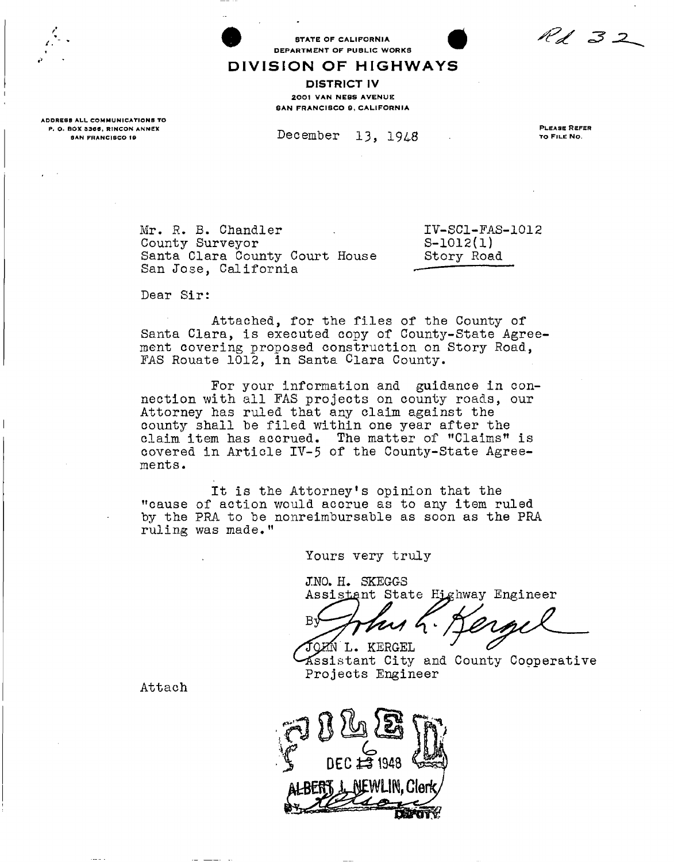$R$ d 32

**DIVISIO N O F HIGHWAY S**  DISTRICT IV 2001 VAN NESS AVENUE **BAN FRANCISCO 9, CALIFORNIA** 

STATE OF CALIFORNIA DEPARTMENT OF PUBLIC WORKS

ADDRESS ALL COMMUNICATIONS TO P. O. BOX 3366, RINCON ANNEX SAN FRANCISCO 19

December 13, 1948

PLEASE REFER TO FILE NO.

Mr. R. B. Chandler County Surveyor Santa Clara County Court House San Jose. California

IV-SC1-FAS-1012 S-1012(1) Story Road

Dear Sir:

Attached, for the files of the County of Santa Clara, is executed copy of County-State Agreement covering proposed construction on Story Road, FAS Rouate 1012, in Santa Clara County.

For your information and guidance in connection with all FAS projects on county roads, our Attorney has ruled that any claim against the county shall he filed within one year after the claim item has accrued. The matter of "Claims" is covered in Article IV-5 *of* the County-State Agreements.

It is the Attorney's opinion that the "cause of action would accrue as to any item ruled by the PRA to be nonreimbursable as soon as the PRA ruling was made."

Yours very truly

**J:NO. H. SKEGGS**  Assistant State Highway Engineer

L. KERGEL

distant City and County Cooperative Projects Engineer

Attach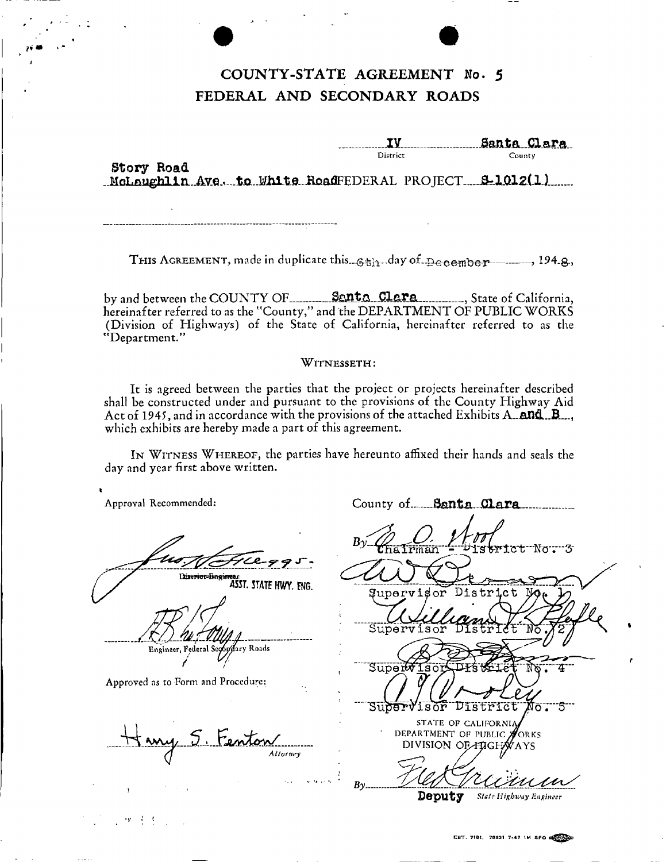## COUNTY-STATE AGREEMENT No. 5 FEDERAL AND SECONDARY ROADS

Santa Clara District County

Story Road MoLoughlin Ave. to White RoadFEDERAL PROJECT 9-1012(1)

THIS AGREEMENT, made in duplicate this  $\epsilon_{\text{min}}$  day of  $\eta_{\text{eq}}$  and  $\eta_{\text{eq}}$ .

by and between the COUNTY OF Senta Clara Clare State of California, hereinafter referred to as the "County," and the DEPARTMENT OF PUBLIC WORKS (Division of Highways) of the State of California, hereinafter referred to as the "Department."

### WITNESSETH:

It is agreed between the parties that the project or projects hereinafter described shall be constructed under and pursuant to the provisions of the County Highway Aid Act of 1945, and in accordance with the provisions of the attached Exhibits A. and B. which exhibits are hereby made a part of this agreement.

IN WITNESS WHEREOF, the parties have hereunto affixed their hands and seals the day and year first above written.

Approval Recommended:

Diservice-Bugineer<br>ASST. STATE HWY. ENG.

Engineer, Federal Secondary Roads

Approved as to Form and Procedure:

地球机能

5 Fenton

County of Santa Clara iskrict Nor 3 istrict Ωm Superw Su<del>ber</del>Visor District  $\overline{\sigma}$  . STATE OF CALIFORNIA DEPARTMENT OF PUBLIC **NORKS** DIVISION OF HIGHWAYS  $B_{\gamma}$ .

Deputy **State Highway Engineer**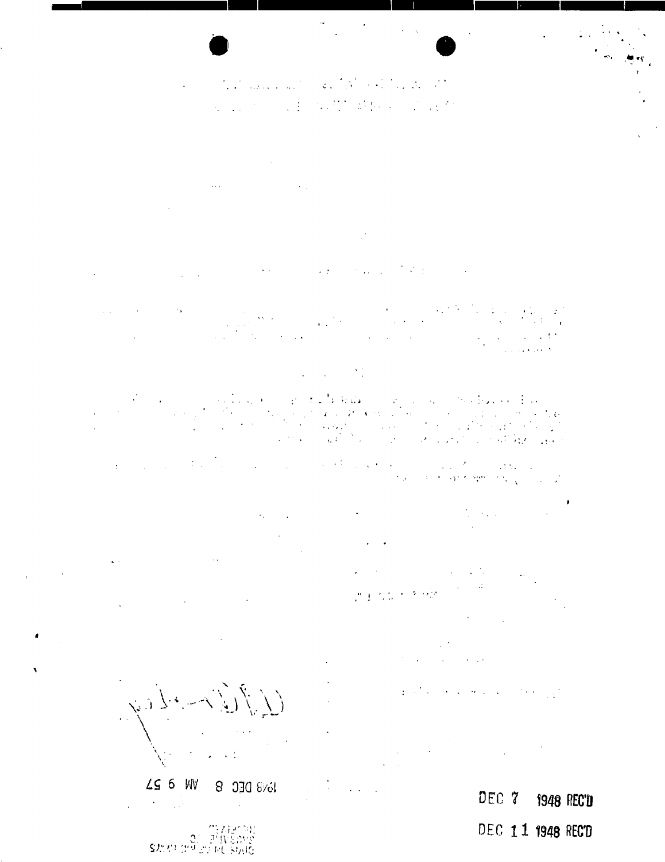### and the company of the control of the control of the  $\overline{\phantom{a}}$ **1997年1月17日 1月11日 1月11日**  $\mathcal{L}_{\text{max}}$  .

 $\mathcal{L}^{\text{max}}$  and  $\mathcal{L}^{\text{max}}$ 

 $\sim$  $\mathbb{R}^3$ 

 $\mathcal{L}^{\mathcal{L}}(\mathcal{L}^{\mathcal{L}})$  and  $\mathcal{L}^{\mathcal{L}}(\mathcal{L}^{\mathcal{L}})$  and  $\mathcal{L}^{\mathcal{L}}(\mathcal{L}^{\mathcal{L}})$  and  $\mathcal{L}^{\mathcal{L}}(\mathcal{L}^{\mathcal{L}})$  $\sim 200$  $\mathcal{A} \in \mathcal{A}$  .  $\mathcal{I}^{\mathcal{I}}$  , and  $\mathcal{I}^{\mathcal{I}}$  .

 $\sim 10^{11}$  km s  $^{-1}$  $\ddot{\phantom{a}}$ 

 $\label{eq:2} \mathcal{L}_{\text{max}} = \mathcal{L}_{\text{max}} = \mathcal{L}_{\text{max}} = \mathcal{L}_{\text{max}}$ 

 $\frac{1}{2}$  ,  $\frac{1}{2}$ e da  $\sim 10^{-1}$  $\begin{aligned} \mathbf{z}^{\prime} & = \mathbf{z}^{\prime} \\ \mathbf{z}^{\prime} & = \mathbf{z}^{\prime} \\ \mathbf{z}^{\prime} & = \mathbf{z}^{\prime} \\ \mathbf{z}^{\prime} & = \mathbf{z}^{\prime} \\ \mathbf{z}^{\prime} & = \mathbf{z}^{\prime} \\ \mathbf{z}^{\prime} & = \mathbf{z}^{\prime} \\ \mathbf{z}^{\prime} & = \mathbf{z}^{\prime} \\ \mathbf{z}^{\prime} & = \mathbf{z}^{\prime} \\ \mathbf{z}^{\prime} & = \mathbf{z}^{\prime} \\ \mathbf{z}^{\$  $\sim$  6  $\sim$  $\mathcal{L}_{\text{max}}$  and  $\mathcal{L}_{\text{max}}$  $\mathcal{L}_{\text{max}} = \mathcal{L}_{\text{max}}$  $\frac{1}{4\pi\epsilon^2}$  $\mathbb{R}^2$  $\mathcal{L}^{\text{max}}_{\text{max}}$  $\sim 100$  $\mathbb{R}^2$ 

 $\overline{\mathbb{C}}$  $\alpha \rightarrow 0$  $\label{eq:1} \mathcal{L}(\mathbf{x},\mathbf{y})=\frac{\mathcal{L}}{2\pi\epsilon}$  $\sim 100$ 

 $\sim 10^{11}$  km s  $^{-1}$ 

 $\frac{1}{2}$  ,  $\frac{1}{2}$ 

之主人员

 $\mathcal{O}(\mathcal{O}(\log n))$ 

 $\sim 10^{11}$  and  $\sim 10^{11}$ 

DEC 7 **1948 REC'D** 

DEC 11 1948 REC'D

 $\alpha_{\rm{max}}=1$  $\bar{\alpha}$  $\sqrt{2}$  $\sim$   $\sim$  $\mathbf{A}^{(i)}$  and  $\mathbf{A}^{(i)}$  are  $\mathbf{A}^{(i)}$  . Then  $\mathbf{A}^{(i)}$ 

t og

 $LS 6 W$ **8 030 8%1**  $\label{eq:2} \frac{1}{\sqrt{2}}\left(\frac{1}{\sqrt{2}}\right)^2\left(\frac{1}{\sqrt{2}}\right)^2\left(\frac{1}{\sqrt{2}}\right)^2.$  $\ddot{\phantom{a}}$ 

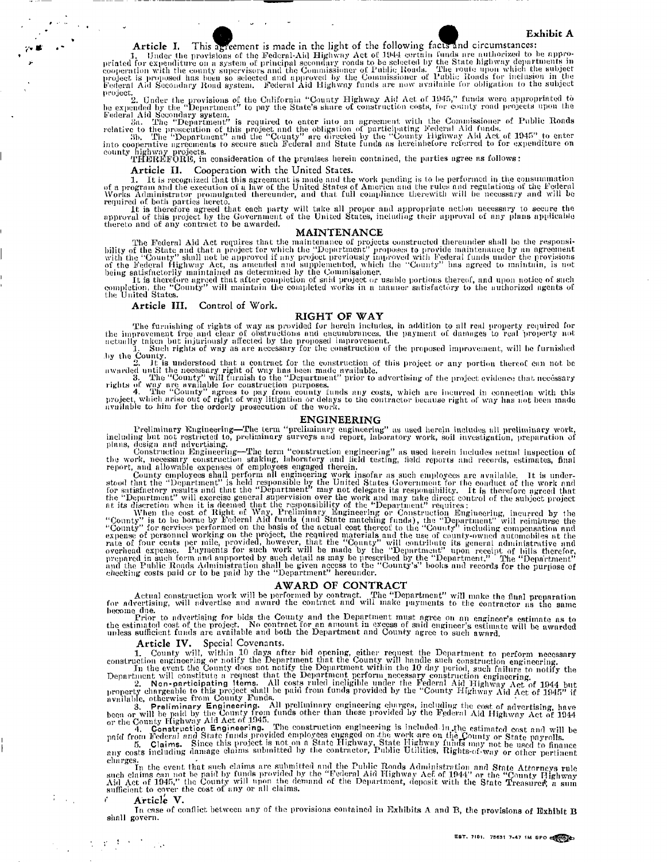Article I. This agreement is made in the light of the following facts and circumstances:<br>1. Under the provisions of the Federal-Aid Highway Act of 1944 certain funds are authorized to be appro-<br>priated for expenditure on a

project.<br>
2. Under the provisions of the California "County Highway Aid Act of 1945," funds were appropriated to<br>
be expended by the "Department" to pay the State's share of construction costs, for county road projects upo

county highway projects.<br>THEREFORE, in consideration of the premises herein contained, the parties agree as follows:

**Article II.** Cooperation with the United States.

1. It is recognized that this agreement is made and the work pending is to be performed in the consummation<br>of a program and the execution of a law of the United States of America and the rules and regularions of the Celer

### **MAINTENANCE**

The Federal Aid Act requires that the maintenance of projects constructed thereunder shall be the responsi-<br>bility of the State and that a project previously improved with the "Domaty" proposes to provide maintenance by an

the B thereto<br>
the United States.

### **Article III.** Control of Work.

### **RIGHT OF WAY**

The furnishing of rights of way as provided for herein includes, in addition to all real property required for<br>the improvement free and clear of obstructions and encumbrances, the payment of damages to real property not<br>ac

by the County.<br>awarded until understood that a contract for the construction of this project or any portion thereof can not be<br>awarded until the necessary right of way has been made available.<br>3. The "County" will furnish

available to him for the orderly prosecution of the work.

Preliminary Engineering—The term "preliminary accounted" ENGINEERING<br>
including int not restricted to, preliminary surveys and report, interactiony work, soil investigation, preparation of<br>
plumary construction Engineerin

### **AWARD OF CONTRACT**

Actual construction work will be performed by contract. The "Department" will make the final preparation<br>for advertising, will advertise and award the contract and will make payments to the contractor as the same

become due.<br>Frior to advertising for bids the County and the Department must agree on an engineer's estimate as to<br>the estimated cost of the project. No contract for an amount in excess of said engineer's estimate as to<br>un

### **Article IV.** Spccial Covenants.

1. County will, within 10 days after bid opening, either request the Department to perform necessary<br>construction engineering or notify the Department that the County will handle such construction engineering.<br>In the event

been or will be paid by the County Prom times other than those provided by the Federal Aid Highway Act of 1944<br>or the County Highway Act of 1944<br>and Construction Engineering. The construction engineering is included in the

In the event that such claims are submitted and the Public Roads Administration and State Attorneys rule<br>such claims can not be paid by the model by the "Federal Aid Highway Act of 1944" or the "County Highway<br>Aid Act of 1

#### **Article V.**

Tn case of conflict between any of the provisions contained in Exhibits A and B, the provisions of Exhibit B shall govern.

 $\mathcal{L}^{\text{max}}$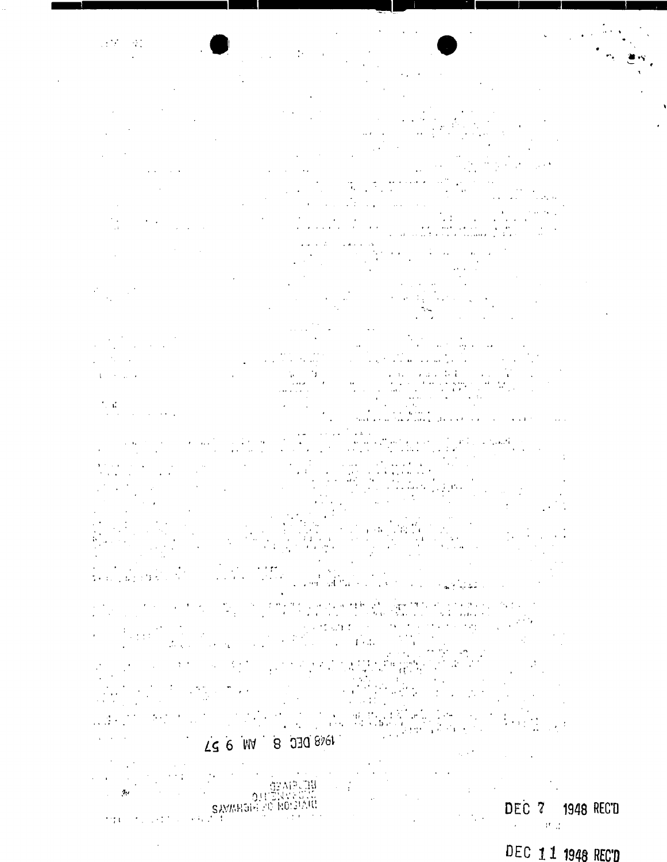# DEC 11 1948 REC'D

#### $\sigma$  $0!!$ **SAMARGIE PO NOISIARE**  $\gamma\gamma$  $\sim 10$

部理理 DEC 7 1948 REC'D

# TO 2018 BLC 8 DJG 8161

Λ,

 $\frac{1}{2} \frac{d}{dt}$ 

 $\mathcal{L}^{\text{max}}$  $\sim 10^7$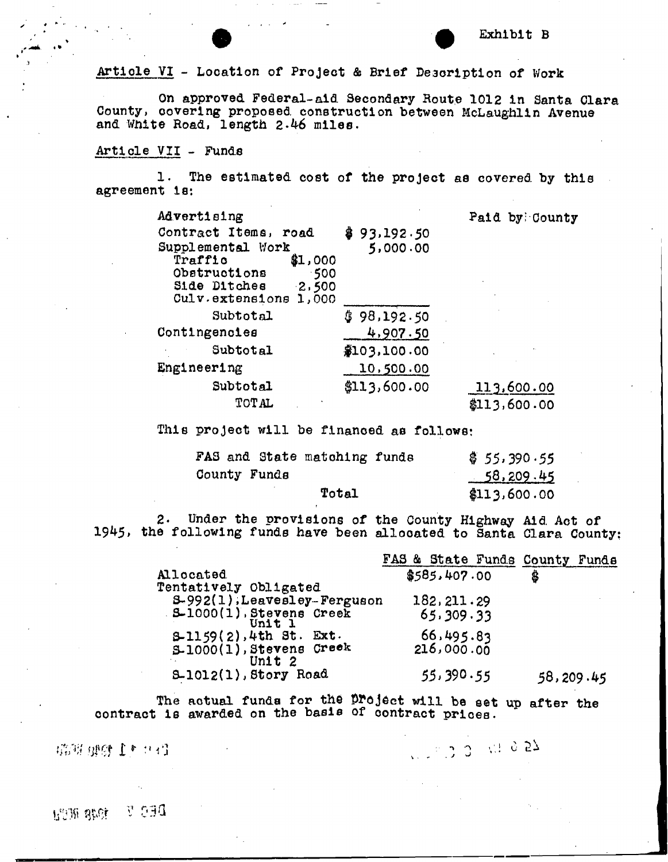Artlole VI - Location of Project & Brief Description of Work

On approved Federal-aid Secondary Route 1012 in Santa Clara County, covering proposed construction between McLaughlin Avenue and White Road, length 2.46 miles.

## Article VII - Funds

1. The estimated cost of the project as covered by this agreement is:

| Advertising                                         |              | Paid by County |
|-----------------------------------------------------|--------------|----------------|
| Contract Items, road                                | \$93,192.50  |                |
| Supplemental Work                                   | 5,000.00     |                |
| Traffic<br>\$1,000                                  |              |                |
| Obstructions<br>-500                                |              |                |
| 2,500<br>Side Ditches<br>Culv.extends 1ons<br>1,000 |              |                |
| Subtotal                                            |              |                |
|                                                     | \$98,192.50  |                |
| Contingencies                                       | 4,907.50     |                |
| Subtotal                                            | \$103,100.00 |                |
| Engineering                                         | 10,500.00    |                |
| Subtotal                                            | \$113,600.00 | 113,600.00     |
| TOTAL                                               |              | \$113,600.00   |

This project will be financed as follows:

|              | FAS and State matching funds | \$55,390.55  |
|--------------|------------------------------|--------------|
| County Funds |                              | 58,209.45    |
|              | Total                        | \$113,600.00 |

2. Under the provisions of the County Highway Aid Act of 1945, the following funds have been allocated to Santa Clara County:

|                                                  | FAS & State Funds County Funds |           |
|--------------------------------------------------|--------------------------------|-----------|
| Allocated                                        | \$585.407.00                   | \$        |
| Tentatively Obligated                            |                                |           |
| S-992(1), Leavesley-Ferguson                     | 182, 211.29                    |           |
| $SL1000(1)$ , Stevens Creek<br>Unit 1            | 65, 309.33                     |           |
| $3-1159(2)$ , 4th St. Ext.                       | 66,495.83                      |           |
| $5-1000(1)$ , Stevens Creek<br>Unit <sub>2</sub> | 216,000.00                     |           |
| $5-1012(1)$ , Story Road                         | 55,390.55                      | 58,209.45 |

The actual funds for the Droject will be set up after the contract is awarded on the basis of contract prices.

*ihM mt i\* . J w>* 

DEC V 1948 RC2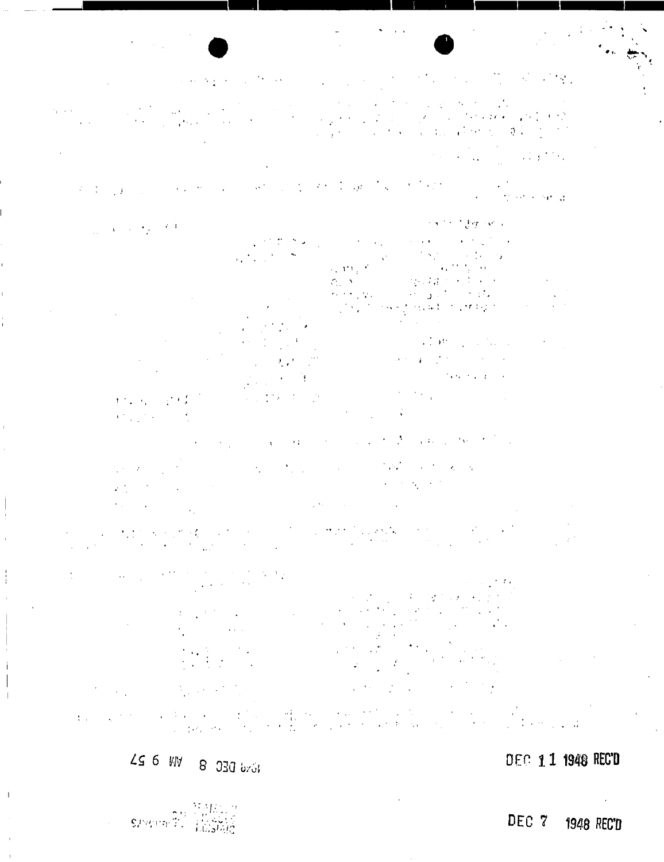#### $\label{eq:2.1} \mathcal{L}(\mathcal{L}^{\mathcal{A}}_{\mathcal{A}}(\mathcal{L}^{\mathcal{A}}_{\mathcal{A}}(\mathcal{L}^{\mathcal{A}}_{\mathcal{A}}(\mathcal{L}^{\mathcal{A}}_{\mathcal{A}}(\mathcal{L}^{\mathcal{A}}_{\mathcal{A}}(\mathcal{L}^{\mathcal{A}}_{\mathcal{A}}(\mathcal{L}^{\mathcal{A}}_{\mathcal{A}}(\mathcal{L}^{\mathcal{A}}_{\mathcal{A}}(\mathcal{L}^{\mathcal{A}}_{\mathcal{A}}(\mathcal{L}^{\mathcal{A}}_{\mathcal{A}}(\mathcal{L$  $\mathcal{O}(\mathcal{O}(\log n))$  $\mathcal{N}(\mathcal{A})$  ,  $\mathcal{N}(\mathcal{A})$  $\sim 10^7$

 $\epsilon_{\rm{max}}$  $\label{eq:2} \mathcal{L}_{\mathcal{A}}(\mathcal{L}_{\mathcal{A}}(\mathcal{L}_{\mathcal{A}})) = \mathcal{L}_{\mathcal{A}}(\mathcal{L}_{\mathcal{A}}(\mathcal{L}_{\mathcal{A}}))$  $\mathcal{L}$  $\mathcal{L}$ 

 $\mathcal{L}^{\text{max}}_{\text{max}}$  , where  $\mathcal{L}^{\text{max}}_{\text{max}}$ 

 $\frac{1}{2} \sum_{i=1}^n \frac{1}{2} \frac{1}{2}$ 

Contractor of the Contractor ina.<br>Tinggal sa sa ba  $\mathcal{E}=\mathcal{E}^{\text{max}}_{\text{max}}$  ,  $\mathcal{E}^{\text{max}}_{\text{max}}$ 

 $\sim$   $\sqrt{2}$   $\sim$  $\mathcal{F}(\mathcal{F},\mathcal{F})$  ,  $\mathcal{F}$  $\alpha=1$  $\chi^2 \to \pi^0 \pi^0 \gamma$  $\epsilon > \epsilon$  )  $\sim$  $\epsilon_{\rm x}$  are  $\mathcal{L}_{\rm{in}}$  $\mathcal{L}^2$  , and  $\mathcal{L}^2$ **STAR**  $\pm 0.014$  and  $\pm 0.01$  $\mathcal{L}_\mathrm{m}$  ).  $\mathcal{L}^{\mathcal{A}}_{\mathcal{A}}$  and  $\mathcal{L}^{\mathcal{A}}_{\mathcal{A}}$  and  $\mathcal{L}^{\mathcal{A}}_{\mathcal{A}}$  and  $\mathcal{L}^{\mathcal{A}}_{\mathcal{A}}$  $\partial_{\alpha} \mathcal{F} = \mathcal{F}(\mathcal{F}^{\alpha}_{\alpha})$  , where  $\mathcal{F}^{\alpha}_{\alpha}$  is the contribution of  $\sim 2.66\times 10^{-4}$ 

 $\mathcal{O}(\mathcal{E}_{\mathcal{A}})$  $\frac{1}{2}$  ,  $\frac{1}{2}$  ,  $\frac{1}{2}$ 

 $\mathcal{A}=\{A_1,\ldots,A_n\}$  . The contribution of  $\mathcal{A}=\{A_1,\ldots,A_n\}$  $\sim 1$  $\sim 0.1$  $\Lambda$ 

 $\lambda_{\rm{max}}=2.5$  $\mathcal{L}(\mathcal{L}^{\text{max}})$  $\mathcal{A}=\mathcal{A}^{\prime}$  , and  $\mathcal{A}^{\prime}=\mathcal{A}^{\prime}$  , and

 $\mathcal{A}=\{x_1,\ldots,x_n\}$ 

 $\mathcal{I}_{\text{NLO}}$  and  $\mathcal{I}_{\text{NLO}}$  $\sim 10^{14}$  M  $_{\odot}$  $\sim$   $\sim$ 

 $\zeta$  ,  $\gamma$  $\mathcal{L}(\mathcal{L})$  ,  $\mathcal{L}(\mathcal{L})$  $\mathcal{L}^{\text{eff}}$ 

 $\mathcal{L}(\mathcal{A})$  and  $\mathcal{L}(\mathcal{A})$  $\mathcal{A}^{\text{max}}_{\text{max}}$  $\label{eq:2} \begin{array}{c} \alpha_1^2 \rightarrow \alpha_2 \\ \beta_1^2 \rightarrow \beta_2^2 \rightarrow \beta_1^2 \end{array}$  $\bar{\Omega}$  $\mathcal{A}$  and  $\mathcal{A}$  and  $\hat{\mathcal{A}}$  $\mathcal{L} = \{ \mathcal{L}_1, \ldots, \mathcal{L}_n \}$ 

10 vd B DEC 8 DN 8 23

DEC 11 1948 REC'D

 $\mathsf{SPPV}(\mathsf{ep}(\widehat{\mathfrak{J}}))$ 

 $\overline{1}$ 

DEC 7 1948 REC'D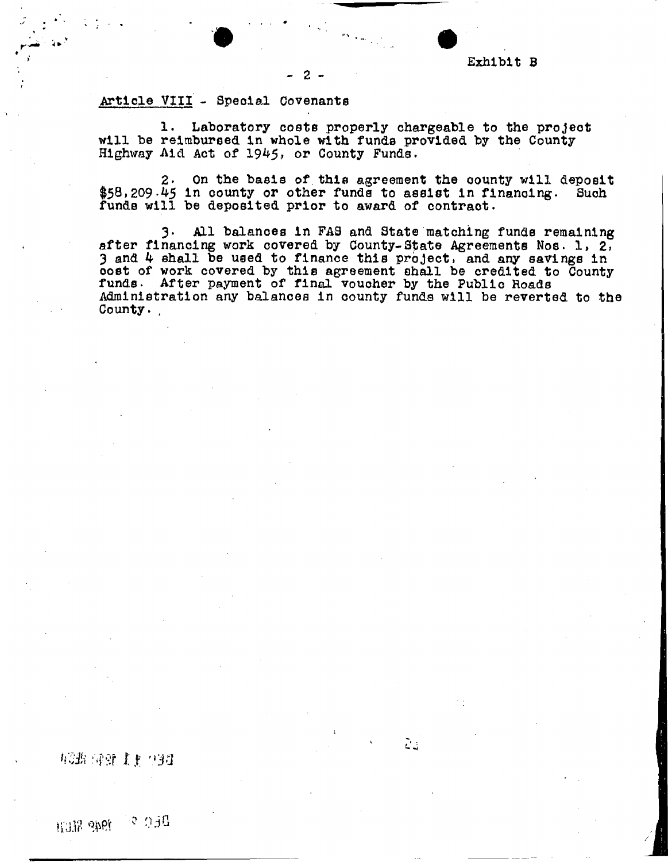

## Article VIII - Special Covenants

1. Laboratory costs properly chargeable to the project will be reimbursed in whole with funds provided by the County Highway Aid Act of 1945, or County Funds.

- 2 -

2. On the basis of this agreement the county will deposit  $$58,209.45$  in county or other funds to assist in financing. Such funds will be deposited prior to award of contract.

3\* All balances in FAS and State matching funds remaining after financing work covered by County-State Agreements Nos. 1, 2, 3 and 4 shall be used to finance this project, and any savings in oost of work covered by this agreement shall be credited to County funds. After payment of final voucher by the Public Roads Administration any balancea in county funds will be reverted to the County.

Ž.

*Zti* NfSf *U:* "33

RAP SET ?  *&*